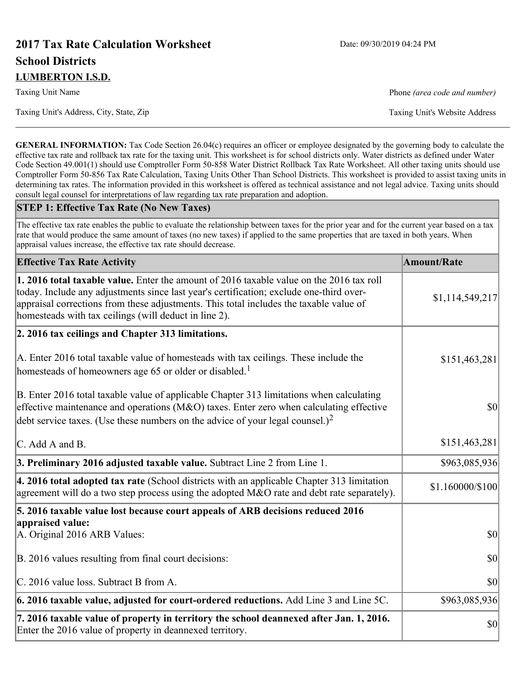# **2017 Tax Rate Calculation Worksheet** Date: 09/30/2019 04:24 PM **School Districts LUMBERTON I.S.D.**

Taxing Unit Name **Phone** *(area code and number)* Phone *(area code and number)* 

Taxing Unit's Address, City, State, Zip Taxing Unit's Website Address

**GENERAL INFORMATION:** Tax Code Section 26.04(c) requires an officer or employee designated by the governing body to calculate the effective tax rate and rollback tax rate for the taxing unit. This worksheet is for school districts only. Water districts as defined under Water Code Section 49.001(1) should use Comptroller Form 50-858 Water District Rollback Tax Rate Worksheet. All other taxing units should use Comptroller Form 50-856 Tax Rate Calculation, Taxing Units Other Than School Districts. This worksheet is provided to assist taxing units in determining tax rates. The information provided in this worksheet is offered as technical assistance and not legal advice. Taxing units should consult legal counsel for interpretations of law regarding tax rate preparation and adoption.

#### **STEP 1: Effective Tax Rate (No New Taxes)**

The effective tax rate enables the public to evaluate the relationship between taxes for the prior year and for the current year based on a tax rate that would produce the same amount of taxes (no new taxes) if applied to the same properties that are taxed in both years. When appraisal values increase, the effective tax rate should decrease.

| <b>Effective Tax Rate Activity</b>                                                                                                                                                                                                                                                                                                            | <b>Amount/Rate</b> |
|-----------------------------------------------------------------------------------------------------------------------------------------------------------------------------------------------------------------------------------------------------------------------------------------------------------------------------------------------|--------------------|
| <b>1. 2016 total taxable value.</b> Enter the amount of 2016 taxable value on the 2016 tax roll<br>today. Include any adjustments since last year's certification; exclude one-third over-<br>appraisal corrections from these adjustments. This total includes the taxable value of<br>homesteads with tax ceilings (will deduct in line 2). | \$1,114,549,217    |
| 2. 2016 tax ceilings and Chapter 313 limitations.                                                                                                                                                                                                                                                                                             |                    |
| A. Enter 2016 total taxable value of homesteads with tax ceilings. These include the<br>homesteads of homeowners age 65 or older or disabled. <sup>1</sup>                                                                                                                                                                                    | \$151,463,281      |
| B. Enter 2016 total taxable value of applicable Chapter 313 limitations when calculating<br>effective maintenance and operations ( $M&O$ ) taxes. Enter zero when calculating effective<br>debt service taxes. (Use these numbers on the advice of your legal counsel.) <sup>2</sup>                                                          | <b>\$0</b>         |
| C. Add A and B.                                                                                                                                                                                                                                                                                                                               | \$151,463,281      |
| 3. Preliminary 2016 adjusted taxable value. Subtract Line 2 from Line 1.                                                                                                                                                                                                                                                                      | \$963,085,936      |
| 4. 2016 total adopted tax rate (School districts with an applicable Chapter 313 limitation<br>agreement will do a two step process using the adopted M&O rate and debt rate separately).                                                                                                                                                      | \$1.160000/\$100   |
| 5. 2016 taxable value lost because court appeals of ARB decisions reduced 2016                                                                                                                                                                                                                                                                |                    |
| appraised value:<br>A. Original 2016 ARB Values:                                                                                                                                                                                                                                                                                              | <b>\$0</b>         |
| B. 2016 values resulting from final court decisions:                                                                                                                                                                                                                                                                                          | \$0                |
| C. 2016 value loss. Subtract B from A.                                                                                                                                                                                                                                                                                                        | 30                 |
| $\vert$ 6. 2016 taxable value, adjusted for court-ordered reductions. Add Line 3 and Line 5C.                                                                                                                                                                                                                                                 | \$963,085,936      |
| 7. 2016 taxable value of property in territory the school deannexed after Jan. 1, 2016.<br>Enter the 2016 value of property in deannexed territory.                                                                                                                                                                                           | \$0                |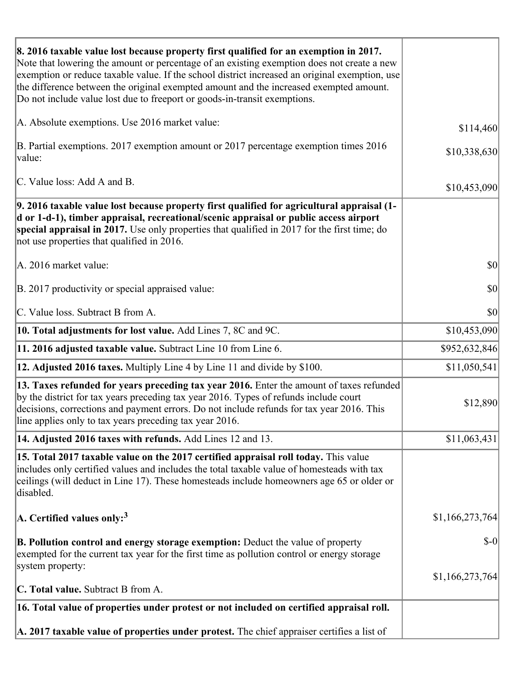| 8. 2016 taxable value lost because property first qualified for an exemption in 2017.<br>Note that lowering the amount or percentage of an existing exemption does not create a new<br>exemption or reduce taxable value. If the school district increased an original exemption, use<br>the difference between the original exempted amount and the increased exempted amount.<br>Do not include value lost due to freeport or goods-in-transit exemptions. |                 |
|--------------------------------------------------------------------------------------------------------------------------------------------------------------------------------------------------------------------------------------------------------------------------------------------------------------------------------------------------------------------------------------------------------------------------------------------------------------|-----------------|
| A. Absolute exemptions. Use 2016 market value:                                                                                                                                                                                                                                                                                                                                                                                                               | \$114,460       |
| B. Partial exemptions. 2017 exemption amount or 2017 percentage exemption times 2016<br>value:                                                                                                                                                                                                                                                                                                                                                               | \$10,338,630    |
| C. Value loss: Add A and B.                                                                                                                                                                                                                                                                                                                                                                                                                                  | \$10,453,090    |
| 9. 2016 taxable value lost because property first qualified for agricultural appraisal (1-<br>d or 1-d-1), timber appraisal, recreational/scenic appraisal or public access airport<br>special appraisal in 2017. Use only properties that qualified in 2017 for the first time; do<br>not use properties that qualified in 2016.                                                                                                                            |                 |
| A. 2016 market value:                                                                                                                                                                                                                                                                                                                                                                                                                                        | \$0             |
| B. 2017 productivity or special appraised value:                                                                                                                                                                                                                                                                                                                                                                                                             | \$0             |
| C. Value loss. Subtract B from A.                                                                                                                                                                                                                                                                                                                                                                                                                            | \$0             |
| <b>10. Total adjustments for lost value.</b> Add Lines 7, 8C and 9C.                                                                                                                                                                                                                                                                                                                                                                                         | \$10,453,090    |
| 11. 2016 adjusted taxable value. Subtract Line 10 from Line 6.                                                                                                                                                                                                                                                                                                                                                                                               | \$952,632,846   |
| <b>12. Adjusted 2016 taxes.</b> Multiply Line 4 by Line 11 and divide by \$100.                                                                                                                                                                                                                                                                                                                                                                              | \$11,050,541    |
| 13. Taxes refunded for years preceding tax year 2016. Enter the amount of taxes refunded<br>by the district for tax years preceding tax year 2016. Types of refunds include court<br>decisions, corrections and payment errors. Do not include refunds for tax year 2016. This<br>line applies only to tax years preceding tax year 2016.                                                                                                                    | \$12,890        |
| 14. Adjusted 2016 taxes with refunds. Add Lines 12 and 13.                                                                                                                                                                                                                                                                                                                                                                                                   | \$11,063,431    |
| 15. Total 2017 taxable value on the 2017 certified appraisal roll today. This value<br>includes only certified values and includes the total taxable value of homesteads with tax<br>ceilings (will deduct in Line 17). These homesteads include homeowners age 65 or older or<br>disabled.                                                                                                                                                                  |                 |
| A. Certified values only: <sup>3</sup>                                                                                                                                                                                                                                                                                                                                                                                                                       | \$1,166,273,764 |
| <b>B. Pollution control and energy storage exemption:</b> Deduct the value of property<br>exempted for the current tax year for the first time as pollution control or energy storage<br>system property:                                                                                                                                                                                                                                                    | $\delta$ -0     |
|                                                                                                                                                                                                                                                                                                                                                                                                                                                              | \$1,166,273,764 |
| <b>C. Total value.</b> Subtract B from A.                                                                                                                                                                                                                                                                                                                                                                                                                    |                 |
| 16. Total value of properties under protest or not included on certified appraisal roll.                                                                                                                                                                                                                                                                                                                                                                     |                 |
| A. 2017 taxable value of properties under protest. The chief appraiser certifies a list of                                                                                                                                                                                                                                                                                                                                                                   |                 |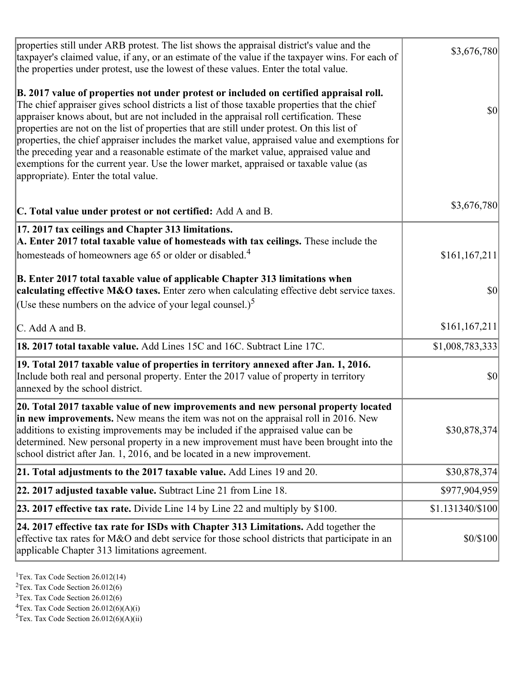| properties still under ARB protest. The list shows the appraisal district's value and the<br>taxpayer's claimed value, if any, or an estimate of the value if the taxpayer wins. For each of<br>the properties under protest, use the lowest of these values. Enter the total value.                                                                                                                                                                                                                                                                                                                                                                                                                      | \$3,676,780      |
|-----------------------------------------------------------------------------------------------------------------------------------------------------------------------------------------------------------------------------------------------------------------------------------------------------------------------------------------------------------------------------------------------------------------------------------------------------------------------------------------------------------------------------------------------------------------------------------------------------------------------------------------------------------------------------------------------------------|------------------|
| B. 2017 value of properties not under protest or included on certified appraisal roll.<br>The chief appraiser gives school districts a list of those taxable properties that the chief<br>appraiser knows about, but are not included in the appraisal roll certification. These<br>properties are not on the list of properties that are still under protest. On this list of<br>properties, the chief appraiser includes the market value, appraised value and exemptions for<br>the preceding year and a reasonable estimate of the market value, appraised value and<br>exemptions for the current year. Use the lower market, appraised or taxable value (as<br>appropriate). Enter the total value. | <b>\$0</b>       |
| C. Total value under protest or not certified: Add A and B.                                                                                                                                                                                                                                                                                                                                                                                                                                                                                                                                                                                                                                               | \$3,676,780      |
| 17. 2017 tax ceilings and Chapter 313 limitations.<br>A. Enter 2017 total taxable value of homesteads with tax ceilings. These include the<br>homesteads of homeowners age 65 or older or disabled. <sup>4</sup>                                                                                                                                                                                                                                                                                                                                                                                                                                                                                          | \$161, 167, 211  |
| B. Enter 2017 total taxable value of applicable Chapter 313 limitations when<br>calculating effective M&O taxes. Enter zero when calculating effective debt service taxes.<br>(Use these numbers on the advice of your legal counsel.) <sup>5</sup>                                                                                                                                                                                                                                                                                                                                                                                                                                                       | $ 10\rangle$     |
| C. Add A and B.                                                                                                                                                                                                                                                                                                                                                                                                                                                                                                                                                                                                                                                                                           | \$161, 167, 211  |
| 18. 2017 total taxable value. Add Lines 15C and 16C. Subtract Line 17C.                                                                                                                                                                                                                                                                                                                                                                                                                                                                                                                                                                                                                                   | \$1,008,783,333  |
| 19. Total 2017 taxable value of properties in territory annexed after Jan. 1, 2016.<br>Include both real and personal property. Enter the 2017 value of property in territory<br>annexed by the school district.                                                                                                                                                                                                                                                                                                                                                                                                                                                                                          | \$0              |
| 20. Total 2017 taxable value of new improvements and new personal property located<br>in new improvements. New means the item was not on the appraisal roll in 2016. New<br>additions to existing improvements may be included if the appraised value can be<br>determined. New personal property in a new improvement must have been brought into the<br>school district after Jan. 1, 2016, and be located in a new improvement.                                                                                                                                                                                                                                                                        | \$30,878,374     |
| 21. Total adjustments to the 2017 taxable value. Add Lines 19 and 20.                                                                                                                                                                                                                                                                                                                                                                                                                                                                                                                                                                                                                                     | \$30,878,374     |
| $ 22.2017$ adjusted taxable value. Subtract Line 21 from Line 18.                                                                                                                                                                                                                                                                                                                                                                                                                                                                                                                                                                                                                                         | \$977,904,959    |
| <b>23. 2017 effective tax rate.</b> Divide Line 14 by Line 22 and multiply by $$100$ .                                                                                                                                                                                                                                                                                                                                                                                                                                                                                                                                                                                                                    | \$1.131340/\$100 |
| 24. 2017 effective tax rate for ISDs with Chapter 313 Limitations. Add together the<br>effective tax rates for M&O and debt service for those school districts that participate in an<br>applicable Chapter 313 limitations agreement.                                                                                                                                                                                                                                                                                                                                                                                                                                                                    | \$0/\$100        |

<sup>1</sup>Tex. Tax Code Section  $26.012(14)$ 

<sup>2</sup>Tex. Tax Code Section 26.012(6)

 $3$ Tex. Tax Code Section 26.012(6)

 ${}^{4}$ Tex. Tax Code Section 26.012(6)(A)(i)

 ${}^{5}$ Tex. Tax Code Section 26.012(6)(A)(ii)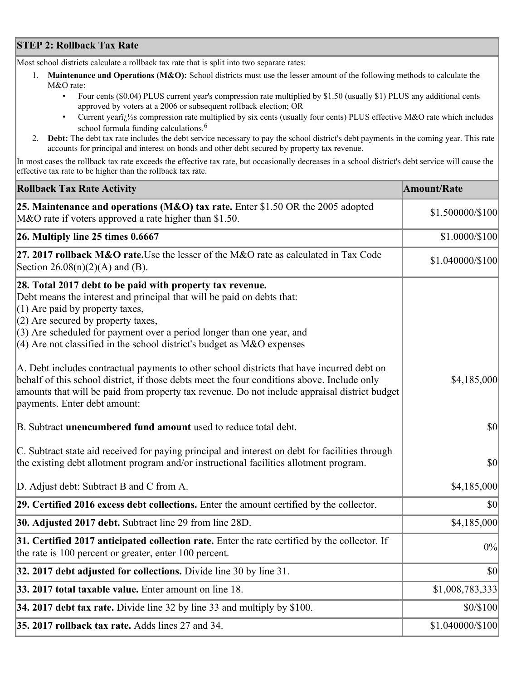## **STEP 2: Rollback Tax Rate**

Most school districts calculate a rollback tax rate that is split into two separate rates:

- 1. **Maintenance and Operations (M&O):** School districts must use the lesser amount of the following methods to calculate the M&O rate:
	- Four cents (\$0.04) PLUS current year's compression rate multiplied by \$1.50 (usually \$1) PLUS any additional cents approved by voters at a 2006 or subsequent rollback election; OR
	- Current year $i/\frac{1}{2}$ s compression rate multiplied by six cents (usually four cents) PLUS effective M&O rate which includes school formula funding calculations.<sup>6</sup>
- 2. **Debt:** The debt tax rate includes the debt service necessary to pay the school district's debt payments in the coming year. This rate accounts for principal and interest on bonds and other debt secured by property tax revenue.

In most cases the rollback tax rate exceeds the effective tax rate, but occasionally decreases in a school district's debt service will cause the effective tax rate to be higher than the rollback tax rate.

| <b>Rollback Tax Rate Activity</b>                                                                                                                                                                                                                                                                                                                                       | <b>Amount/Rate</b> |
|-------------------------------------------------------------------------------------------------------------------------------------------------------------------------------------------------------------------------------------------------------------------------------------------------------------------------------------------------------------------------|--------------------|
| 25. Maintenance and operations (M&O) tax rate. Enter \$1.50 OR the 2005 adopted<br>M&O rate if voters approved a rate higher than \$1.50.                                                                                                                                                                                                                               | \$1.500000/\$100   |
| $ 26.$ Multiply line 25 times $0.6667$                                                                                                                                                                                                                                                                                                                                  | \$1.0000/\$100     |
| 27. 2017 rollback M&O rate. Use the lesser of the M&O rate as calculated in Tax Code<br>Section $26.08(n)(2)(A)$ and (B).                                                                                                                                                                                                                                               | \$1.040000/\$100   |
| 28. Total 2017 debt to be paid with property tax revenue.<br>Debt means the interest and principal that will be paid on debts that:<br>$(1)$ Are paid by property taxes,<br>$(2)$ Are secured by property taxes,<br>$(3)$ Are scheduled for payment over a period longer than one year, and<br>$(4)$ Are not classified in the school district's budget as M&O expenses |                    |
| A. Debt includes contractual payments to other school districts that have incurred debt on<br>behalf of this school district, if those debts meet the four conditions above. Include only<br>amounts that will be paid from property tax revenue. Do not include appraisal district budget<br>payments. Enter debt amount:                                              | \$4,185,000        |
| B. Subtract unencumbered fund amount used to reduce total debt.                                                                                                                                                                                                                                                                                                         | \$0                |
| C. Subtract state aid received for paying principal and interest on debt for facilities through<br>the existing debt allotment program and/or instructional facilities allotment program.                                                                                                                                                                               | $ 10\rangle$       |
| D. Adjust debt: Subtract B and C from A.                                                                                                                                                                                                                                                                                                                                | \$4,185,000        |
| 29. Certified 2016 excess debt collections. Enter the amount certified by the collector.                                                                                                                                                                                                                                                                                | $ 10\rangle$       |
| 30. Adjusted 2017 debt. Subtract line 29 from line 28D.                                                                                                                                                                                                                                                                                                                 | \$4,185,000        |
| 31. Certified 2017 anticipated collection rate. Enter the rate certified by the collector. If<br>the rate is 100 percent or greater, enter 100 percent.                                                                                                                                                                                                                 | 0%                 |
| 32. 2017 debt adjusted for collections. Divide line 30 by line 31.                                                                                                                                                                                                                                                                                                      | $ 10\rangle$       |
| 33. 2017 total taxable value. Enter amount on line 18.                                                                                                                                                                                                                                                                                                                  | \$1,008,783,333    |
| 34. 2017 debt tax rate. Divide line 32 by line 33 and multiply by \$100.                                                                                                                                                                                                                                                                                                | \$0/\$100          |
| 35. 2017 rollback tax rate. Adds lines 27 and 34.                                                                                                                                                                                                                                                                                                                       | \$1.040000/\$100   |